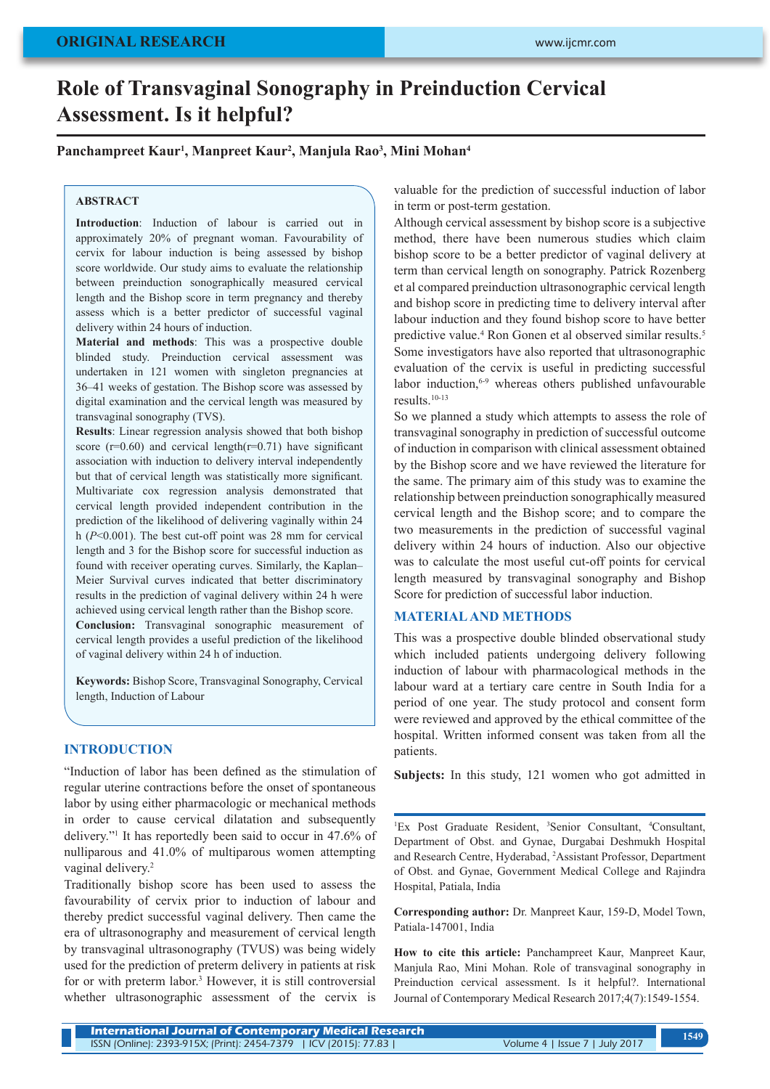# **ORIGINAL RESEARCH**

# **Role of Transvaginal Sonography in Preinduction Cervical Assessment. Is it helpful?**

## **Panchampreet Kaur1 , Manpreet Kaur2 , Manjula Rao3 , Mini Mohan4**

## **ABSTRACT**

**Introduction**: Induction of labour is carried out in approximately 20% of pregnant woman. Favourability of cervix for labour induction is being assessed by bishop score worldwide. Our study aims to evaluate the relationship between preinduction sonographically measured cervical length and the Bishop score in term pregnancy and thereby assess which is a better predictor of successful vaginal delivery within 24 hours of induction.

**Material and methods**: This was a prospective double blinded study. Preinduction cervical assessment was undertaken in 121 women with singleton pregnancies at 36–41 weeks of gestation. The Bishop score was assessed by digital examination and the cervical length was measured by transvaginal sonography (TVS).

**Results**: Linear regression analysis showed that both bishop score  $(r=0.60)$  and cervical length $(r=0.71)$  have significant association with induction to delivery interval independently but that of cervical length was statistically more significant. Multivariate cox regression analysis demonstrated that cervical length provided independent contribution in the prediction of the likelihood of delivering vaginally within 24 h (*P*<0.001). The best cut-off point was 28 mm for cervical length and 3 for the Bishop score for successful induction as found with receiver operating curves. Similarly, the Kaplan– Meier Survival curves indicated that better discriminatory results in the prediction of vaginal delivery within 24 h were achieved using cervical length rather than the Bishop score. **Conclusion:** Transvaginal sonographic measurement of cervical length provides a useful prediction of the likelihood

of vaginal delivery within 24 h of induction.

**Keywords:** Bishop Score, Transvaginal Sonography, Cervical length, Induction of Labour

## **INTRODUCTION**

"Induction of labor has been defined as the stimulation of regular uterine contractions before the onset of spontaneous labor by using either pharmacologic or mechanical methods in order to cause cervical dilatation and subsequently delivery."1 It has reportedly been said to occur in 47.6% of nulliparous and 41.0% of multiparous women attempting vaginal delivery.<sup>2</sup>

Traditionally bishop score has been used to assess the favourability of cervix prior to induction of labour and thereby predict successful vaginal delivery. Then came the era of ultrasonography and measurement of cervical length by transvaginal ultrasonography (TVUS) was being widely used for the prediction of preterm delivery in patients at risk for or with preterm labor.<sup>3</sup> However, it is still controversial whether ultrasonographic assessment of the cervix is

valuable for the prediction of successful induction of labor in term or post-term gestation.

Although cervical assessment by bishop score is a subjective method, there have been numerous studies which claim bishop score to be a better predictor of vaginal delivery at term than cervical length on sonography. Patrick Rozenberg et al compared preinduction ultrasonographic cervical length and bishop score in predicting time to delivery interval after labour induction and they found bishop score to have better predictive value.<sup>4</sup> Ron Gonen et al observed similar results.<sup>5</sup> Some investigators have also reported that ultrasonographic evaluation of the cervix is useful in predicting successful labor induction,<sup>6-9</sup> whereas others published unfavourable results.10-13

So we planned a study which attempts to assess the role of transvaginal sonography in prediction of successful outcome of induction in comparison with clinical assessment obtained by the Bishop score and we have reviewed the literature for the same. The primary aim of this study was to examine the relationship between preinduction sonographically measured cervical length and the Bishop score; and to compare the two measurements in the prediction of successful vaginal delivery within 24 hours of induction. Also our objective was to calculate the most useful cut-off points for cervical length measured by transvaginal sonography and Bishop Score for prediction of successful labor induction.

## **MATERIAL AND METHODS**

This was a prospective double blinded observational study which included patients undergoing delivery following induction of labour with pharmacological methods in the labour ward at a tertiary care centre in South India for a period of one year. The study protocol and consent form were reviewed and approved by the ethical committee of the hospital. Written informed consent was taken from all the patients.

**Subjects:** In this study, 121 women who got admitted in

<sup>1</sup>Ex Post Graduate Resident, <sup>3</sup>Senior Consultant, <sup>4</sup>Consultant, Department of Obst. and Gynae, Durgabai Deshmukh Hospital and Research Centre, Hyderabad, 2 Assistant Professor, Department of Obst. and Gynae, Government Medical College and Rajindra Hospital, Patiala, India

**Corresponding author:** Dr. Manpreet Kaur, 159-D, Model Town, Patiala-147001, India

**How to cite this article:** Panchampreet Kaur, Manpreet Kaur, Manjula Rao, Mini Mohan. Role of transvaginal sonography in Preinduction cervical assessment. Is it helpful?. International Journal of Contemporary Medical Research 2017;4(7):1549-1554.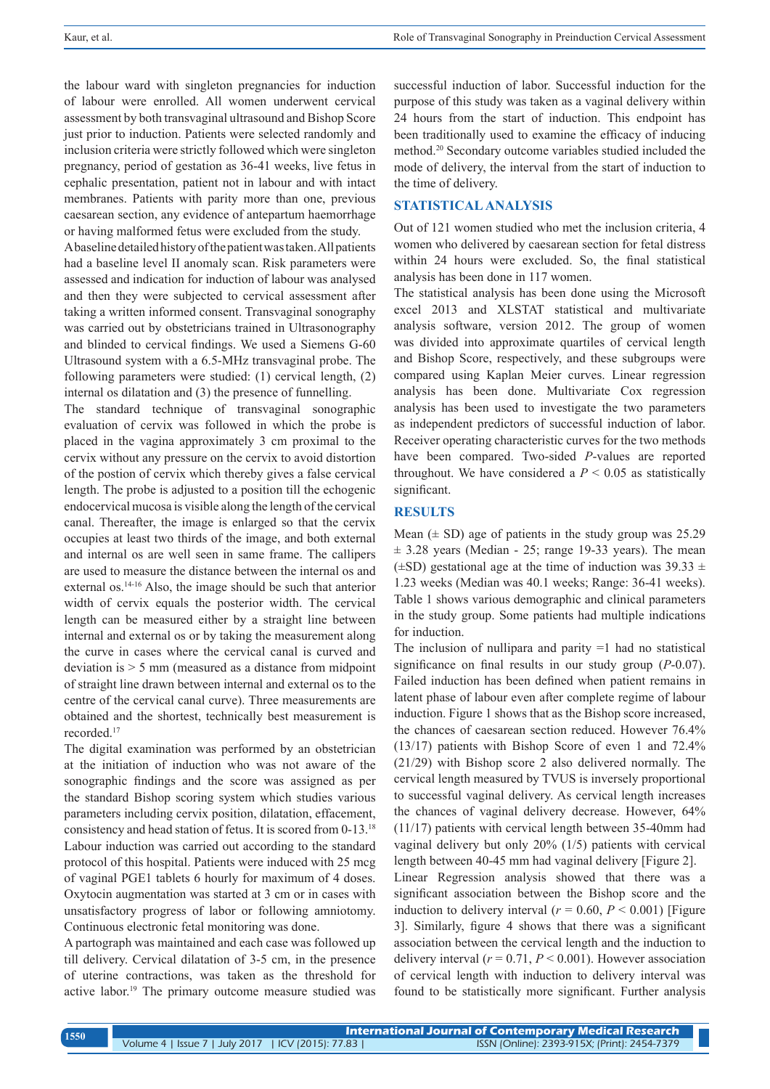the labour ward with singleton pregnancies for induction of labour were enrolled. All women underwent cervical assessment by both transvaginal ultrasound and Bishop Score just prior to induction. Patients were selected randomly and inclusion criteria were strictly followed which were singleton pregnancy, period of gestation as 36-41 weeks, live fetus in cephalic presentation, patient not in labour and with intact membranes. Patients with parity more than one, previous caesarean section, any evidence of antepartum haemorrhage or having malformed fetus were excluded from the study.

A baseline detailed history of the patient was taken. All patients had a baseline level II anomaly scan. Risk parameters were assessed and indication for induction of labour was analysed and then they were subjected to cervical assessment after taking a written informed consent. Transvaginal sonography was carried out by obstetricians trained in Ultrasonography and blinded to cervical findings. We used a Siemens G-60 Ultrasound system with a 6.5-MHz transvaginal probe. The following parameters were studied: (1) cervical length, (2) internal os dilatation and (3) the presence of funnelling.

The standard technique of transvaginal sonographic evaluation of cervix was followed in which the probe is placed in the vagina approximately 3 cm proximal to the cervix without any pressure on the cervix to avoid distortion of the postion of cervix which thereby gives a false cervical length. The probe is adjusted to a position till the echogenic endocervical mucosa is visible along the length of the cervical canal. Thereafter, the image is enlarged so that the cervix occupies at least two thirds of the image, and both external and internal os are well seen in same frame. The callipers are used to measure the distance between the internal os and external os.14-16 Also, the image should be such that anterior width of cervix equals the posterior width. The cervical length can be measured either by a straight line between internal and external os or by taking the measurement along the curve in cases where the cervical canal is curved and deviation is > 5 mm (measured as a distance from midpoint of straight line drawn between internal and external os to the centre of the cervical canal curve). Three measurements are obtained and the shortest, technically best measurement is recorded.17

The digital examination was performed by an obstetrician at the initiation of induction who was not aware of the sonographic findings and the score was assigned as per the standard Bishop scoring system which studies various parameters including cervix position, dilatation, effacement, consistency and head station of fetus. It is scored from 0-13.18 Labour induction was carried out according to the standard protocol of this hospital. Patients were induced with 25 mcg of vaginal PGE1 tablets 6 hourly for maximum of 4 doses. Oxytocin augmentation was started at 3 cm or in cases with unsatisfactory progress of labor or following amniotomy. Continuous electronic fetal monitoring was done.

A partograph was maintained and each case was followed up till delivery. Cervical dilatation of 3-5 cm, in the presence of uterine contractions, was taken as the threshold for active labor.19 The primary outcome measure studied was successful induction of labor. Successful induction for the purpose of this study was taken as a vaginal delivery within 24 hours from the start of induction. This endpoint has been traditionally used to examine the efficacy of inducing method.20 Secondary outcome variables studied included the mode of delivery, the interval from the start of induction to the time of delivery.

#### **STATISTICAL ANALYSIS**

Out of 121 women studied who met the inclusion criteria, 4 women who delivered by caesarean section for fetal distress within 24 hours were excluded. So, the final statistical analysis has been done in 117 women.

The statistical analysis has been done using the Microsoft excel 2013 and XLSTAT statistical and multivariate analysis software, version 2012. The group of women was divided into approximate quartiles of cervical length and Bishop Score, respectively, and these subgroups were compared using Kaplan Meier curves. Linear regression analysis has been done. Multivariate Cox regression analysis has been used to investigate the two parameters as independent predictors of successful induction of labor. Receiver operating characteristic curves for the two methods have been compared. Two-sided *P*-values are reported throughout. We have considered a  $P \leq 0.05$  as statistically significant.

#### **RESULTS**

Mean  $(\pm SD)$  age of patients in the study group was 25.29  $\pm$  3.28 years (Median - 25; range 19-33 years). The mean  $(\pm SD)$  gestational age at the time of induction was 39.33  $\pm$ 1.23 weeks (Median was 40.1 weeks; Range: 36-41 weeks). Table 1 shows various demographic and clinical parameters in the study group. Some patients had multiple indications for induction.

The inclusion of nullipara and parity  $=1$  had no statistical significance on final results in our study group (*P*-0.07). Failed induction has been defined when patient remains in latent phase of labour even after complete regime of labour induction. Figure 1 shows that as the Bishop score increased, the chances of caesarean section reduced. However 76.4% (13/17) patients with Bishop Score of even 1 and 72.4% (21/29) with Bishop score 2 also delivered normally. The cervical length measured by TVUS is inversely proportional to successful vaginal delivery. As cervical length increases the chances of vaginal delivery decrease. However, 64% (11/17) patients with cervical length between 35-40mm had vaginal delivery but only 20% (1/5) patients with cervical length between 40-45 mm had vaginal delivery [Figure 2].

Linear Regression analysis showed that there was a significant association between the Bishop score and the induction to delivery interval ( $r = 0.60$ ,  $P < 0.001$ ) [Figure 3]. Similarly, figure 4 shows that there was a significant association between the cervical length and the induction to delivery interval  $(r = 0.71, P \le 0.001)$ . However association of cervical length with induction to delivery interval was found to be statistically more significant. Further analysis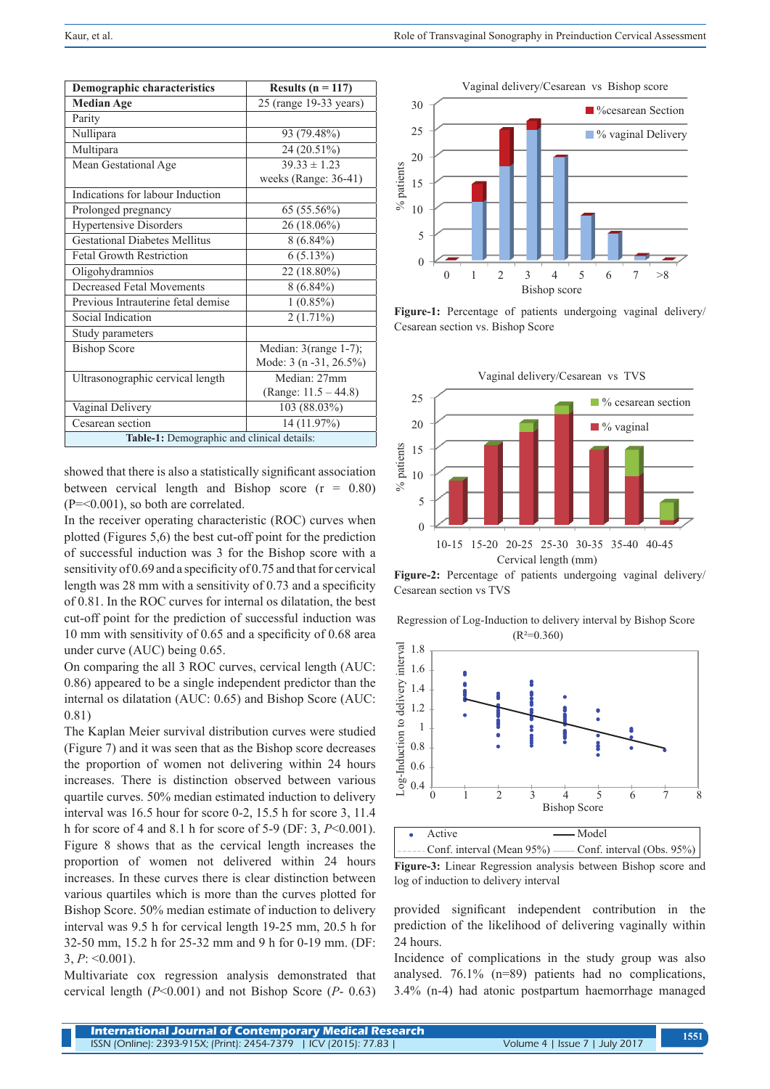| <b>Demographic characteristics</b>         | Results ( $n = 117$ )    |  |  |  |
|--------------------------------------------|--------------------------|--|--|--|
| <b>Median Age</b>                          | 25 (range 19-33 years)   |  |  |  |
| Parity                                     |                          |  |  |  |
| Nullipara                                  | 93 (79.48%)              |  |  |  |
| Multipara                                  | 24 (20.51%)              |  |  |  |
| Mean Gestational Age                       | $39.33 \pm 1.23$         |  |  |  |
|                                            | weeks (Range: 36-41)     |  |  |  |
| Indications for labour Induction           |                          |  |  |  |
| Prolonged pregnancy                        | 65 (55.56%)              |  |  |  |
| <b>Hypertensive Disorders</b>              | 26 (18.06%)              |  |  |  |
| <b>Gestational Diabetes Mellitus</b>       | $8(6.84\%)$              |  |  |  |
| <b>Fetal Growth Restriction</b>            | $6(5.13\%)$              |  |  |  |
| Oligohydramnios                            | 22 (18.80%)              |  |  |  |
| <b>Decreased Fetal Movements</b>           | $8(6.84\%)$              |  |  |  |
| Previous Intrauterine fetal demise         | $1(0.85\%)$              |  |  |  |
| Social Indication                          | $2(1.71\%)$              |  |  |  |
| Study parameters                           |                          |  |  |  |
| <b>Bishop Score</b>                        | Median: $3$ (range 1-7); |  |  |  |
|                                            | Mode: 3 (n -31, 26.5%)   |  |  |  |
| Ultrasonographic cervical length           | Median: 27mm             |  |  |  |
|                                            | (Range: $11.5 - 44.8$ )  |  |  |  |
| Vaginal Delivery                           | 103 (88.03%)             |  |  |  |
| Cesarean section                           | 14 (11.97%)              |  |  |  |
| Table-1: Demographic and clinical details: |                          |  |  |  |

showed that there is also a statistically significant association between cervical length and Bishop score  $(r = 0.80)$  $(P = 0.001)$ , so both are correlated.

In the receiver operating characteristic (ROC) curves when plotted (Figures 5,6) the best cut-off point for the prediction of successful induction was 3 for the Bishop score with a sensitivity of 0.69 and a specificity of 0.75 and that for cervical length was 28 mm with a sensitivity of 0.73 and a specificity of 0.81. In the ROC curves for internal os dilatation, the best cut-off point for the prediction of successful induction was 10 mm with sensitivity of 0.65 and a specificity of 0.68 area under curve (AUC) being 0.65.

On comparing the all 3 ROC curves, cervical length (AUC: 0.86) appeared to be a single independent predictor than the internal os dilatation (AUC: 0.65) and Bishop Score (AUC: 0.81)

The Kaplan Meier survival distribution curves were studied (Figure 7) and it was seen that as the Bishop score decreases the proportion of women not delivering within 24 hours increases. There is distinction observed between various quartile curves. 50% median estimated induction to delivery interval was 16.5 hour for score 0-2, 15.5 h for score 3, 11.4 h for score of 4 and 8.1 h for score of 5-9 (DF: 3, *P*<0.001). Figure 8 shows that as the cervical length increases the proportion of women not delivered within 24 hours increases. In these curves there is clear distinction between various quartiles which is more than the curves plotted for Bishop Score. 50% median estimate of induction to delivery interval was 9.5 h for cervical length 19-25 mm, 20.5 h for 32-50 mm, 15.2 h for 25-32 mm and 9 h for 0-19 mm. (DF: 3,  $P: \leq 0.001$ .

Multivariate cox regression analysis demonstrated that cervical length (*P*<0.001) and not Bishop Score (*P*- 0.63)



**Figure-1:** Percentage of patients undergoing vaginal delivery/ Cesarean section vs. Bishop Score



**Figure-2:** Percentage of patients undergoing vaginal delivery/ Cesarean section vs TVS

Regression of Log-Induction to delivery interval by Bishop Score  $(R<sup>2</sup>=0.360)$ 





**Figure-3:** Linear Regression analysis between Bishop score and log of induction to delivery interval

provided significant independent contribution in the prediction of the likelihood of delivering vaginally within 24 hours.

Incidence of complications in the study group was also analysed. 76.1% (n=89) patients had no complications, 3.4% (n-4) had atonic postpartum haemorrhage managed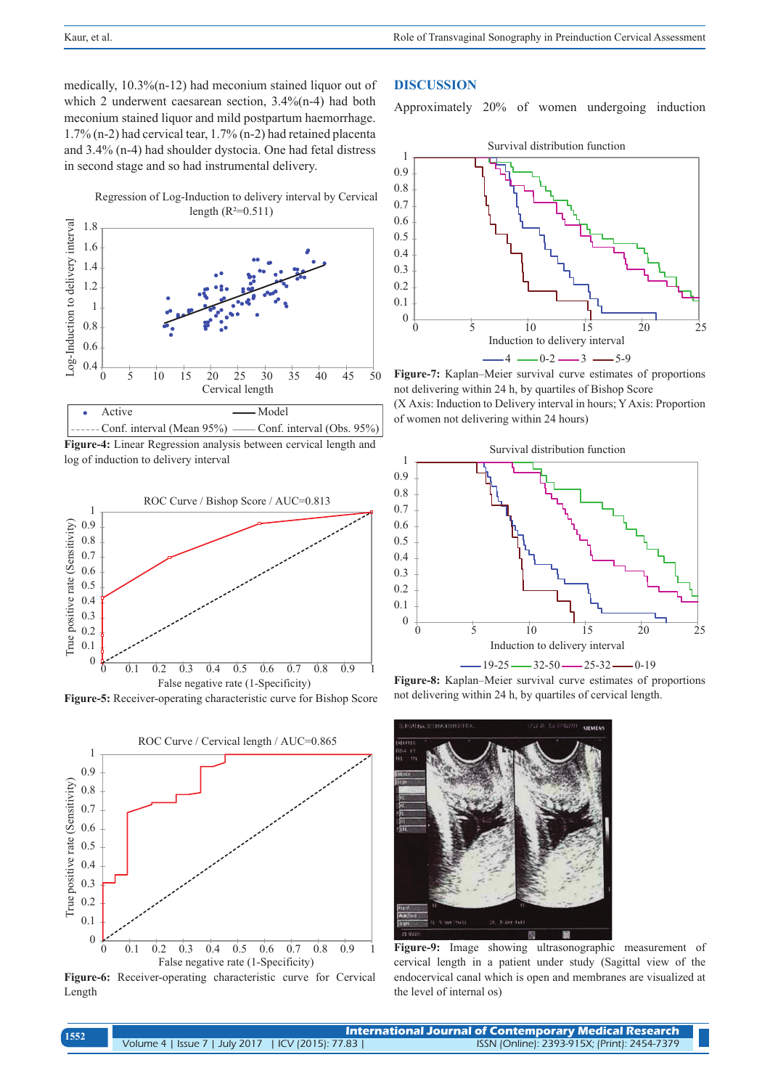medically, 10.3%(n-12) had meconium stained liquor out of which 2 underwent caesarean section,  $3.4\%$ (n-4) had both meconium stained liquor and mild postpartum haemorrhage. 1.7% (n-2) had cervical tear, 1.7% (n-2) had retained placenta and 3.4% (n-4) had shoulder dystocia. One had fetal distress in second stage and so had instrumental delivery.

> Regression of Log-Induction to delivery interval by Cervical length  $(R^2=0.511)$



**Figure-4:** Linear Regression analysis between cervical length and log of induction to delivery interval Conf. interval (Mean 95%) — Conf. interval (Obs. 95%)



**Figure-5:** Receiver-operating characteristic curve for Bishop Score



**Figure-6:** Receiver-operating characteristic curve for Cervical Length

## **DISCUSSION**

Approximately 20% of women undergoing induction



**Figure-7:** Kaplan–Meier survival curve estimates of proportions not delivering within 24 h, by quartiles of Bishop Score (X Axis: Induction to Delivery interval in hours; Y Axis: Proportion of women not delivering within 24 hours)



**Figure-8:** Kaplan–Meier survival curve estimates of proportions not delivering within 24 h, by quartiles of cervical length.



**Figure-9:** Image showing ultrasonographic measurement of cervical length in a patient under study (Sagittal view of the endocervical canal which is open and membranes are visualized at the level of internal os)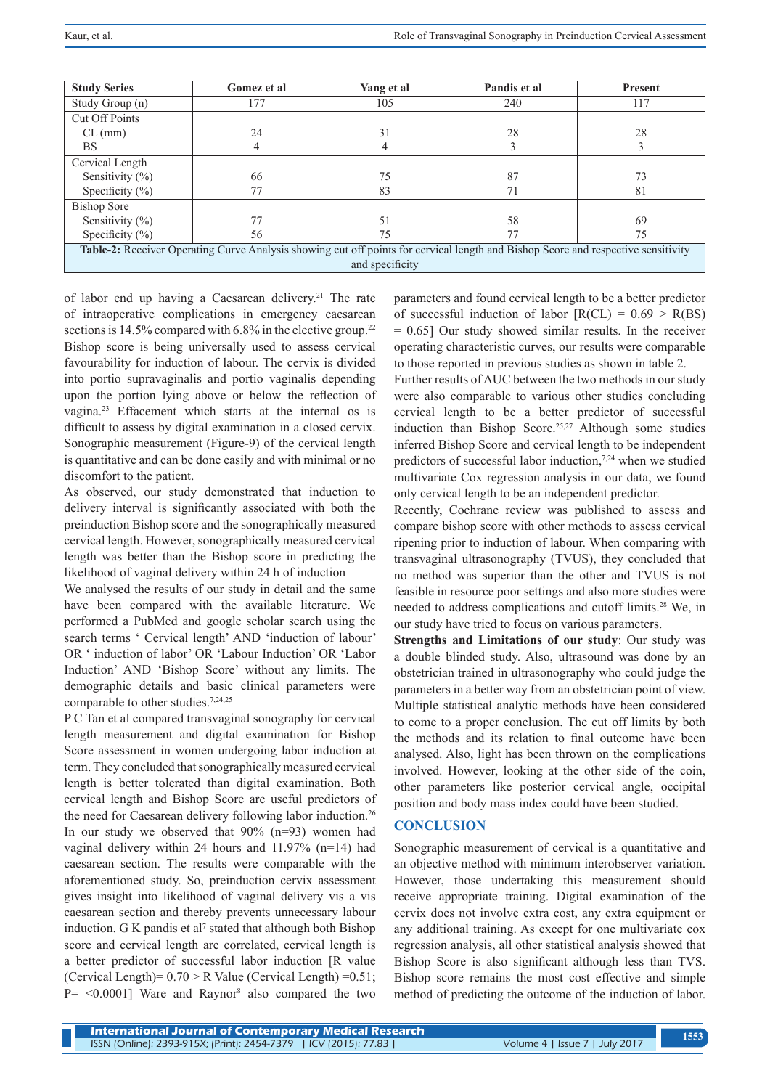| <b>Study Series</b>                                                                                                               | Gomez et al | Yang et al | Pandis et al | <b>Present</b> |
|-----------------------------------------------------------------------------------------------------------------------------------|-------------|------------|--------------|----------------|
| Study Group (n)                                                                                                                   | 177         | 105        | 240          | 117            |
| Cut Off Points                                                                                                                    |             |            |              |                |
| $CL$ (mm)                                                                                                                         | 24          | 31         | 28           | 28             |
| <b>BS</b>                                                                                                                         | 4           | 4          |              |                |
| Cervical Length                                                                                                                   |             |            |              |                |
| Sensitivity $(\%)$                                                                                                                | 66          | 75         | 87           | 73             |
| Specificity $(\% )$                                                                                                               | 77          | 83         | 71           | 81             |
| Bishop Sore                                                                                                                       |             |            |              |                |
| Sensitivity $(\%)$                                                                                                                | 77          | 51         | 58           | 69             |
| Specificity $(\% )$                                                                                                               | 56          | 75         | 77           | 75             |
| Table-2: Receiver Operating Curve Analysis showing cut off points for cervical length and Bishop Score and respective sensitivity |             |            |              |                |
| and specificity                                                                                                                   |             |            |              |                |

of labor end up having a Caesarean delivery.<sup>21</sup> The rate of intraoperative complications in emergency caesarean sections is  $14.5\%$  compared with 6.8% in the elective group.<sup>22</sup> Bishop score is being universally used to assess cervical favourability for induction of labour. The cervix is divided into portio supravaginalis and portio vaginalis depending upon the portion lying above or below the reflection of vagina.23 Effacement which starts at the internal os is difficult to assess by digital examination in a closed cervix. Sonographic measurement (Figure-9) of the cervical length is quantitative and can be done easily and with minimal or no discomfort to the patient.

As observed, our study demonstrated that induction to delivery interval is significantly associated with both the preinduction Bishop score and the sonographically measured cervical length. However, sonographically measured cervical length was better than the Bishop score in predicting the likelihood of vaginal delivery within 24 h of induction

We analysed the results of our study in detail and the same have been compared with the available literature. We performed a PubMed and google scholar search using the search terms ' Cervical length' AND 'induction of labour' OR ' induction of labor' OR 'Labour Induction' OR 'Labor Induction' AND 'Bishop Score' without any limits. The demographic details and basic clinical parameters were comparable to other studies.<sup>7,24,25</sup>

P C Tan et al compared transvaginal sonography for cervical length measurement and digital examination for Bishop Score assessment in women undergoing labor induction at term. They concluded that sonographically measured cervical length is better tolerated than digital examination. Both cervical length and Bishop Score are useful predictors of the need for Caesarean delivery following labor induction.26 In our study we observed that 90% (n=93) women had vaginal delivery within 24 hours and 11.97% (n=14) had caesarean section. The results were comparable with the aforementioned study. So, preinduction cervix assessment gives insight into likelihood of vaginal delivery vis a vis caesarean section and thereby prevents unnecessary labour induction.  $G K$  pandis et al<sup>7</sup> stated that although both Bishop score and cervical length are correlated, cervical length is a better predictor of successful labor induction [R value (Cervical Length)=  $0.70 > R$  Value (Cervical Length) =  $0.51$ ;  $P = \{0.0001\}$  Ware and Raynor<sup>8</sup> also compared the two parameters and found cervical length to be a better predictor of successful induction of labor  $[R(CL) = 0.69 > R(BS)]$  $= 0.65$ ] Our study showed similar results. In the receiver operating characteristic curves, our results were comparable to those reported in previous studies as shown in table 2.

Further results of AUC between the two methods in our study were also comparable to various other studies concluding cervical length to be a better predictor of successful induction than Bishop Score.<sup>25,27</sup> Although some studies inferred Bishop Score and cervical length to be independent predictors of successful labor induction,7,24 when we studied multivariate Cox regression analysis in our data, we found only cervical length to be an independent predictor.

Recently, Cochrane review was published to assess and compare bishop score with other methods to assess cervical ripening prior to induction of labour. When comparing with transvaginal ultrasonography (TVUS), they concluded that no method was superior than the other and TVUS is not feasible in resource poor settings and also more studies were needed to address complications and cutoff limits.28 We, in our study have tried to focus on various parameters.

**Strengths and Limitations of our study**: Our study was a double blinded study. Also, ultrasound was done by an obstetrician trained in ultrasonography who could judge the parameters in a better way from an obstetrician point of view. Multiple statistical analytic methods have been considered to come to a proper conclusion. The cut off limits by both the methods and its relation to final outcome have been analysed. Also, light has been thrown on the complications involved. However, looking at the other side of the coin, other parameters like posterior cervical angle, occipital position and body mass index could have been studied.

## **CONCLUSION**

Sonographic measurement of cervical is a quantitative and an objective method with minimum interobserver variation. However, those undertaking this measurement should receive appropriate training. Digital examination of the cervix does not involve extra cost, any extra equipment or any additional training. As except for one multivariate cox regression analysis, all other statistical analysis showed that Bishop Score is also significant although less than TVS. Bishop score remains the most cost effective and simple method of predicting the outcome of the induction of labor.